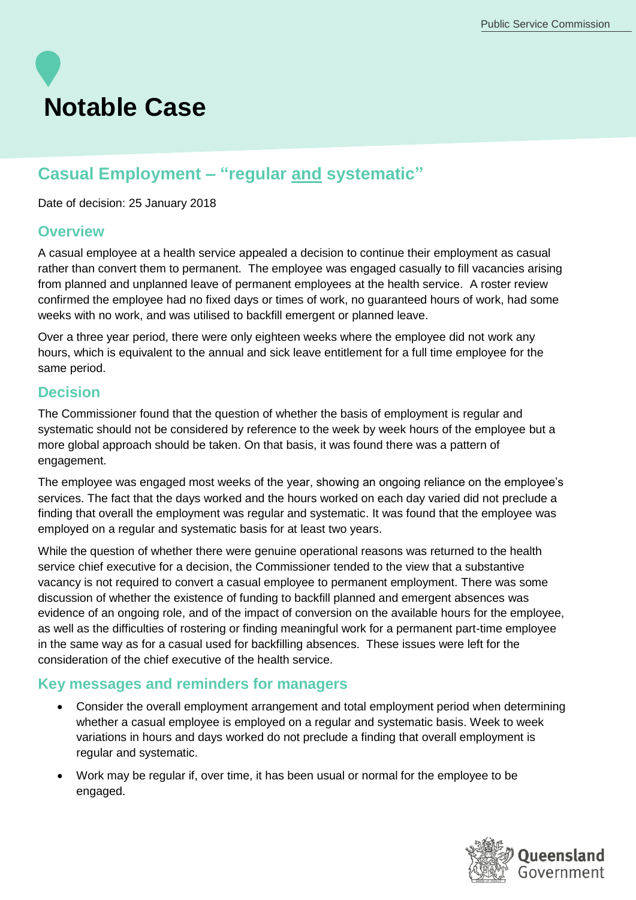# **Notable Case**

## **Casual Employment – "regular and systematic"**

Date of decision: 25 January 2018

### **Overview**

A casual employee at a health service appealed a decision to continue their employment as casual rather than convert them to permanent. The employee was engaged casually to fill vacancies arising from planned and unplanned leave of permanent employees at the health service. A roster review confirmed the employee had no fixed days or times of work, no guaranteed hours of work, had some weeks with no work, and was utilised to backfill emergent or planned leave.

Over a three year period, there were only eighteen weeks where the employee did not work any hours, which is equivalent to the annual and sick leave entitlement for a full time employee for the same period.

### **Decision**

The Commissioner found that the question of whether the basis of employment is regular and systematic should not be considered by reference to the week by week hours of the employee but a more global approach should be taken. On that basis, it was found there was a pattern of engagement.

The employee was engaged most weeks of the year, showing an ongoing reliance on the employee's services. The fact that the days worked and the hours worked on each day varied did not preclude a finding that overall the employment was regular and systematic. It was found that the employee was employed on a regular and systematic basis for at least two years.

While the question of whether there were genuine operational reasons was returned to the health service chief executive for a decision, the Commissioner tended to the view that a substantive vacancy is not required to convert a casual employee to permanent employment. There was some discussion of whether the existence of funding to backfill planned and emergent absences was evidence of an ongoing role, and of the impact of conversion on the available hours for the employee, as well as the difficulties of rostering or finding meaningful work for a permanent part-time employee in the same way as for a casual used for backfilling absences. These issues were left for the consideration of the chief executive of the health service.

### **Key messages and reminders for managers**

- Consider the overall employment arrangement and total employment period when determining whether a casual employee is employed on a regular and systematic basis. Week to week variations in hours and days worked do not preclude a finding that overall employment is regular and systematic.
- Work may be regular if, over time, it has been usual or normal for the employee to be engaged.